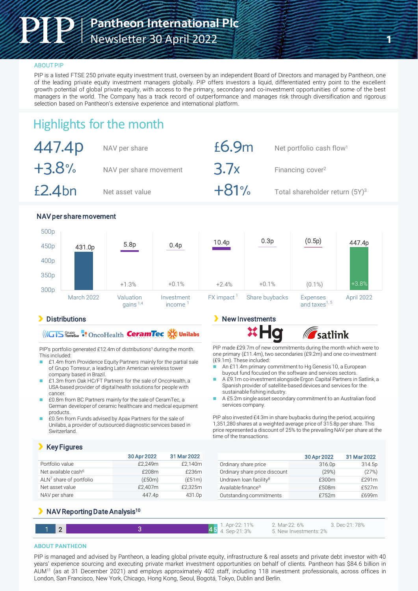### **ABOUT PIP**

PIP is a listed FTSE 250 private equity investment trust, overseen by an independent Board of Directors and managed by Pantheon, one of the leading private equity investment managers globally. PIP offers investors a liquid, differentiated entry point to the excellent growth potential of global private equity, with access to the primary, secondary and co-investment opportunities of some of the best managers in the world. The Company has a track record of outperformance and manages risk through diversification and rigorous selection based on Pantheon's extensive experience and international platform.

# Highlights for the month

| 447.4p    | NAV per share          | £6.9m  | Net portfolio cash flow <sup>1</sup>       |
|-----------|------------------------|--------|--------------------------------------------|
| $+3.8%$   | NAV per share movement | 3.7x   | Financing cover <sup>2</sup>               |
| $£2.4$ bn | Net asset value        | $+81%$ | Total shareholder return (5Y) <sup>3</sup> |

### NAV per share movement

|                  | and the second control of the second second and the second second the second second second and second the second second and second and second and second and second and second and second and second and second and second and |                          |                          |                          | <b><i>Contact Contact Contact Contact Contact Contact Contact Contact Contact Contact Contact Contact Contact Contact Contact Contact Contact Contact Contact Contact Contact Contact Contact Contact Contact Contact Contact Cont</i></b> |                                       |            |
|------------------|--------------------------------------------------------------------------------------------------------------------------------------------------------------------------------------------------------------------------------|--------------------------|--------------------------|--------------------------|--------------------------------------------------------------------------------------------------------------------------------------------------------------------------------------------------------------------------------------------|---------------------------------------|------------|
|                  | <b>March 2022</b>                                                                                                                                                                                                              | Valuation<br>gains $1.4$ | Investment<br>income $1$ | $FX$ impact <sup>1</sup> | Share buybacks                                                                                                                                                                                                                             | Expenses<br>and taxes <sup>1, 5</sup> | April 2022 |
| 300p             |                                                                                                                                                                                                                                | $+1.3%$                  | $+0.1%$                  | $+2.4%$                  | $+0.1%$                                                                                                                                                                                                                                    | $(0.1\%)$                             | $+3.8%$    |
| 350p             |                                                                                                                                                                                                                                |                          |                          |                          |                                                                                                                                                                                                                                            |                                       |            |
| 400p             |                                                                                                                                                                                                                                |                          |                          |                          |                                                                                                                                                                                                                                            |                                       |            |
| 450p             | 431.0p                                                                                                                                                                                                                         | 5.8p                     | 0.4p                     | 10.4p                    | 0.3p                                                                                                                                                                                                                                       | (0.5p)                                | 447.4p     |
| 500 <sub>p</sub> |                                                                                                                                                                                                                                |                          |                          |                          |                                                                                                                                                                                                                                            |                                       |            |

### **Distributions**

## **(ICTS** fivesure: OncoHealth **CeramTec**

PIP's portfolio generated £12.4m of distributions<sup>1</sup> during the month. This included:

- £1.4m from Providence Equity Partners mainly for the partial sale of Grupo Torresur, a leading Latin American wireless tower company based in Brazil.
- £1.3m from Oak HC/FT Partners for the sale of OncoHealth, a USA-based provider of digital health solutions for people with cancer.
- £0.8m from BC Partners mainly for the sale of CeramTec, a German developer of ceramic healthcare and medical equipment products.
- £0.5m from Funds advised by Apax Partners for the sale of Unilabs, a provider of outsourced diagnostic services based in Switzerland.

### **Key Figures**

|                                     | 30 Apr 2022 | 31 Mar 2022 |
|-------------------------------------|-------------|-------------|
| Portfolio value                     | £2.249m     | £2.140m     |
| Net available cash <sup>6</sup>     | £208m       | £236m       |
| ALN <sup>7</sup> share of portfolio | (E50m)      | (E51m)      |
| Net asset value                     | £2,407m     | £2.325m     |
| NAV per share                       | 447.4p      | 431.0p      |

## New Investments

*s*atlink

PIP made £29.7m of new commitments during the month which were to one primary (£11.4m), two secondaries (£9.2m) and one co-investment (£9.1m). These included:

- An £11.4m primary commitment to Hg Genesis 10, a European buyout fund focused on the software and services sectors.
- A £9.1m co-investment alongside Ergon Capital Partners in Satlink, a Spanish provider of satellite-based devices and services for the sustainable fishing industry.
- A £5.2m single asset secondary commitment to an Australian food services company.

PIP also invested £4.3m in share buybacks during the period, acquiring 1,351,280 shares at a weighted average price of 315.8p per share. This price represented a discount of 25% to the prevailing NAV per share at the time of the transactions.

|                                    | 30 Apr 2022 | 31 Mar 2022 |
|------------------------------------|-------------|-------------|
| Ordinary share price               | 316.0p      | 314.5p      |
| Ordinary share price discount      | (29%)       | (27%)       |
| Undrawn Ioan facility <sup>8</sup> | £300m       | f291m       |
| Available finance <sup>9</sup>     | £508m       | £527m       |
| Outstanding commitments            | £752m       | £699m       |

## **NAV Reporting Date Analysis<sup>10</sup>**

| ົາ |  | 1. Apr-22: 11%<br>$4.$ Sep-21:3% | 2. Mar-22: 6%<br>5. New Investments: 2% | 3. Dec-21: 78% |
|----|--|----------------------------------|-----------------------------------------|----------------|
|    |  |                                  |                                         |                |

### **ABOUT PANTHEON**

PIP is managed and advised by Pantheon, a leading global private equity, infrastructure & real assets and private debt investor with 40 years' experience sourcing and executing private market investment opportunities on behalf of clients. Pantheon has \$84.6 billion in AUM11 (as at 31 December 2021) and employs approximately 402 staff, including 118 investment professionals, across offices in London, San Francisco, New York, Chicago, Hong Kong, Seoul, Bogotá, Tokyo, Dublin and Berlin.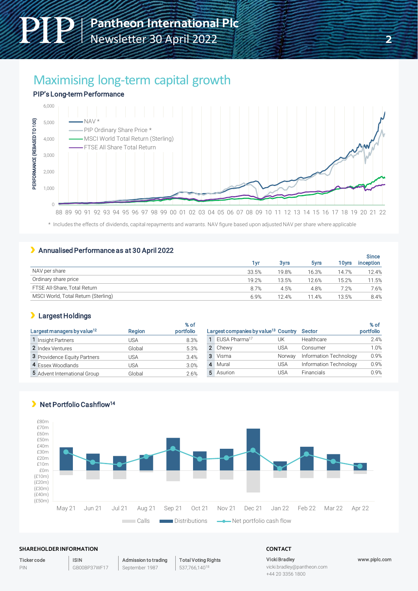# Maximising long-term capital growth

### PIP's Long-term Performance



\* Includes the effects of dividends, capital repayments and warrants. NAV figure based upon adjusted NAV per share where applicable

### Annualised Performance as at 30 April 2022

|                                     |       |             |       |                   | <b>Since</b>     |
|-------------------------------------|-------|-------------|-------|-------------------|------------------|
|                                     | 1 vr  | <b>3yrs</b> | 5yrs  | 10 <sub>Vrs</sub> | <b>inception</b> |
| NAV per share                       | 33.5% | 19.8%       | 16.3% | 14.7%             | 12.4%            |
| Ordinary share price                | 19.2% | 13.5%       | 12.6% | 15.2%             | 11.5%            |
| FTSE All-Share, Total Return        | 8.7%  | 4.5%        | 4.8%  | 7.2%              | 7.6%             |
| MSCI World, Total Return (Sterling) | 6.9%  | 12.4%       | 11.4% | 13.5%             | 8.4%             |

### Largest Holdings

Net Portfolio Cashflow<sup>14</sup>

| Largest managers by value <sup>12</sup> | <b>Region</b> | % of<br>portfolio | Largest companies by value <sup>13</sup> Country |        | Sector                 | % of<br>portfolio |
|-----------------------------------------|---------------|-------------------|--------------------------------------------------|--------|------------------------|-------------------|
| Insight Partners                        | USA           | 8.3%              | 1 FUSA Pharma <sup>17</sup>                      | UΚ     | Healthcare             | 2.4%              |
| 2 Index Ventures                        | Global        | 5.3%              | 2 Chewy                                          | USA    | Consumer               | 1.0%              |
| 3 Providence Equity Partners            | USA           | 3.4%              | 3 Visma                                          | Norway | Information Technology | 0.9%              |
| 4 Essex Woodlands                       | JSA           | 3.0%              | 4 Mural                                          | USA    | Information Technology | 0.9%              |
| 5 Advent International Group            | Global        | 2.6%              | 5 Asurion                                        | USA    | <b>Financials</b>      | 0.9%              |



#### **SHAREHOLDER INFORMATION CONTACT**

Ticker code PIN

Admission to trading September 1987

Total Voting Rights

537,766,14018

Vicki Bradley

www.piplc.com